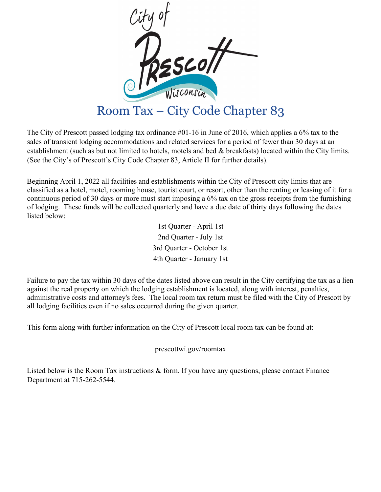

The City of Prescott passed lodging tax ordinance #01-16 in June of 2016, which applies a 6% tax to the sales of transient lodging accommodations and related services for a period of fewer than 30 days at an establishment (such as but not limited to hotels, motels and bed & breakfasts) located within the City limits. (See the City's of Prescott's City Code Chapter 83, Article II for further details).

Beginning April 1, 2022 all facilities and establishments within the City of Prescott city limits that are classified as a hotel, motel, rooming house, tourist court, or resort, other than the renting or leasing of it for a continuous period of 30 days or more must start imposing a 6% tax on the gross receipts from the furnishing of lodging. These funds will be collected quarterly and have a due date of thirty days following the dates listed below:

> 1st Quarter - April 1st 2nd Quarter - July 1st 3rd Quarter - October 1st 4th Quarter - January 1st

Failure to pay the tax within 30 days of the dates listed above can result in the City certifying the tax as a lien against the real property on which the lodging establishment is located, along with interest, penalties, administrative costs and attorney's fees. The local room tax return must be filed with the City of Prescott by all lodging facilities even if no sales occurred during the given quarter.

This form along with further information on the City of Prescott local room tax can be found at:

prescottwi.gov/roomtax

Listed below is the Room Tax instructions & form. If you have any questions, please contact Finance Department at 715-262-5544.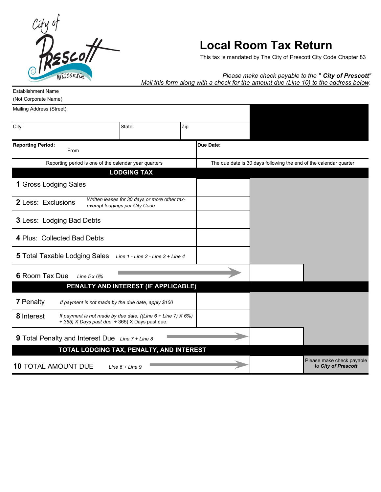

# **Local Room Tax Return**

This tax is mandated by The City of Prescott City Code Chapter 83

### *Please make check payable to the " City of Prescott"*

*Mail this form along with a check for the amount due (Line 10) to the address below.*

| (Not Corporate Name) |              |  |
|----------------------|--------------|--|
|                      |              |  |
|                      |              |  |
|                      | Zip          |  |
|                      |              |  |
|                      |              |  |
|                      | <b>State</b> |  |

**Due Date:**

| .<br>From                                                                                                                                    |                                                                   |
|----------------------------------------------------------------------------------------------------------------------------------------------|-------------------------------------------------------------------|
| Reporting period is one of the calendar year quarters                                                                                        | The due date is 30 days following the end of the calendar quarter |
| <b>LODGING TAX</b>                                                                                                                           |                                                                   |
| 1 Gross Lodging Sales                                                                                                                        |                                                                   |
| Written leases for 30 days or more other tax-<br><b>2</b> Less: Exclusions<br>exempt lodgings per City Code                                  |                                                                   |
| <b>3 Less: Lodging Bad Debts</b>                                                                                                             |                                                                   |
| 4 Plus: Collected Bad Debts                                                                                                                  |                                                                   |
| <b>5</b> Total Taxable Lodging Sales<br>Line 1 - Line 2 - Line 3 + Line 4                                                                    |                                                                   |
| 6 Room Tax Due<br>Line $5 \times 6\%$                                                                                                        |                                                                   |
| PENALTY AND INTEREST (IF APPLICABLE)                                                                                                         |                                                                   |
| <b>7</b> Penalty<br>If payment is not made by the due date, apply \$100                                                                      |                                                                   |
| 8 Interest<br>If payment is not made by due date, ((Line $6 +$ Line 7) $X 6\%)$<br>$\div$ 365) X Days past due. $\div$ 365) X Days past due. |                                                                   |
| 9 Total Penalty and Interest Due Line 7 + Line 8                                                                                             |                                                                   |
| TOTAL LODGING TAX, PENALTY, AND INTEREST                                                                                                     |                                                                   |
| <b>10 TOTAL AMOUNT DUE</b><br>Line $6 + Line 9$                                                                                              | Please make check payable<br>to City of Prescott                  |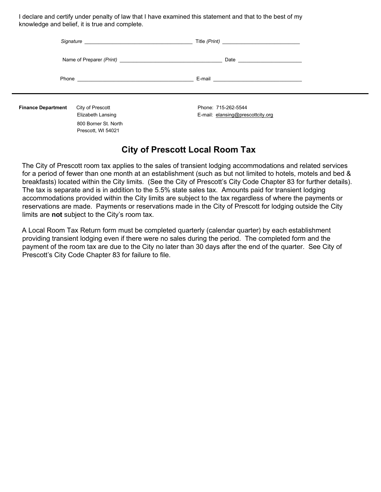I declare and certify under penalty of law that I have examined this statement and that to the best of my knowledge and belief, it is true and complete.

|                           |                                            | E-mail and the contract of the contract of the contract of the contract of the contract of the contract of the |  |
|---------------------------|--------------------------------------------|----------------------------------------------------------------------------------------------------------------|--|
| <b>Finance Department</b> | City of Prescott<br>Elizabeth Lansing      | Phone: 715-262-5544<br>E-mail: elansing@prescottcity.org                                                       |  |
|                           | 800 Borner St. North<br>Prescott, WI 54021 |                                                                                                                |  |

### **City of Prescott Local Room Tax**

The City of Prescott room tax applies to the sales of transient lodging accommodations and related services for a period of fewer than one month at an establishment (such as but not limited to hotels, motels and bed & breakfasts) located within the City limits. (See the City of Prescott's City Code Chapter 83 for further details). The tax is separate and is in addition to the 5.5% state sales tax. Amounts paid for transient lodging accommodations provided within the City limits are subject to the tax regardless of where the payments or reservations are made. Payments or reservations made in the City of Prescott for lodging outside the City limits are **not** subject to the City's room tax.

A Local Room Tax Return form must be completed quarterly (calendar quarter) by each establishment providing transient lodging even if there were no sales during the period. The completed form and the payment of the room tax are due to the City no later than 30 days after the end of the quarter. See City of Prescott's City Code Chapter 83 for failure to file.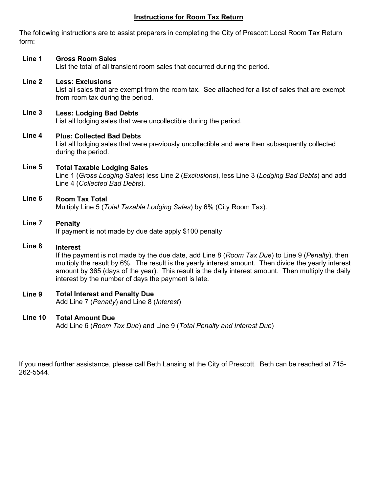### **Instructions for Room Tax Return**

The following instructions are to assist preparers in completing the City of Prescott Local Room Tax Return form:

#### **Line 1 Gross Room Sales**

List the total of all transient room sales that occurred during the period.

#### **Line 2 Less: Exclusions**

List all sales that are exempt from the room tax. See attached for a list of sales that are exempt from room tax during the period.

#### **Line 3 Less: Lodging Bad Debts**

List all lodging sales that were uncollectible during the period.

#### **Line 4 Plus: Collected Bad Debts**

List all lodging sales that were previously uncollectible and were then subsequently collected during the period.

#### **Line 5 Total Taxable Lodging Sales**

Line 1 (*Gross Lodging Sales*) less Line 2 (*Exclusions*), less Line 3 (*Lodging Bad Debts*) and add Line 4 (*Collected Bad Debts*).

#### **Line 6 Room Tax Total**

Multiply Line 5 (*Total Taxable Lodging Sales*) by 6% (City Room Tax).

#### **Line 7 Penalty**

If payment is not made by due date apply \$100 penalty

### **Line 8 Interest**

If the payment is not made by the due date, add Line 8 (*Room Tax Due*) to Line 9 (*Penalty*), then multiply the result by 6%. The result is the yearly interest amount. Then divide the yearly interest amount by 365 (days of the year). This result is the daily interest amount. Then multiply the daily interest by the number of days the payment is late.

#### **Line 9 Total Interest and Penalty Due**

Add Line 7 (*Penalty*) and Line 8 (*Interest*)

#### **Line 10 Total Amount Due**

Add Line 6 (*Room Tax Due*) and Line 9 (*Total Penalty and Interest Due*)

If you need further assistance, please call Beth Lansing at the City of Prescott. Beth can be reached at 715- 262-5544.